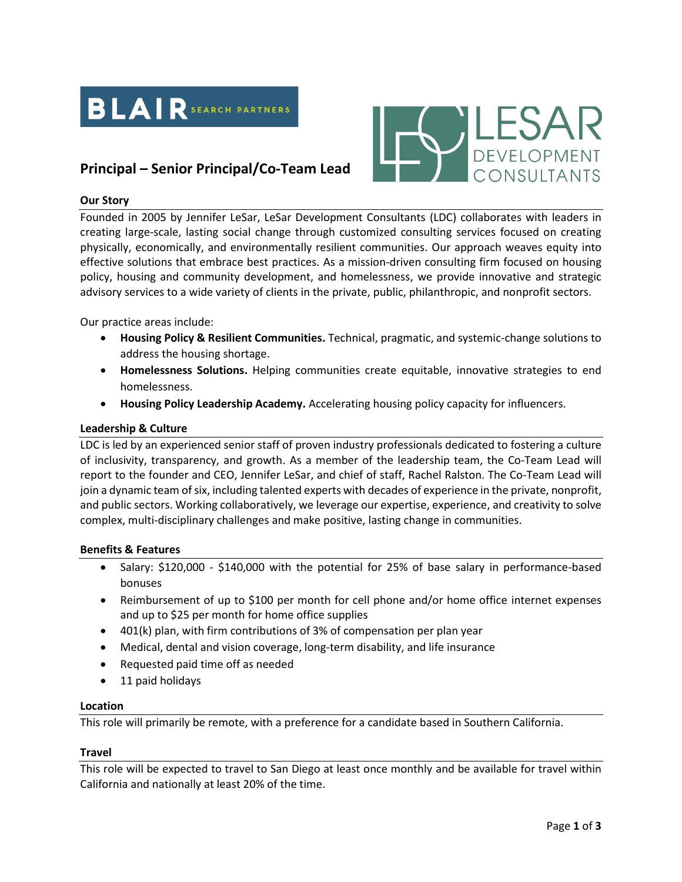



# **Principal – Senior Principal/Co-Team Lead**

## **Our Story**

Founded in 2005 by Jennifer LeSar, LeSar Development Consultants (LDC) collaborates with leaders in creating large-scale, lasting social change through customized consulting services focused on creating physically, economically, and environmentally resilient communities. Our approach weaves equity into effective solutions that embrace best practices. As a mission-driven consulting firm focused on housing policy, housing and community development, and homelessness, we provide innovative and strategic advisory services to a wide variety of clients in the private, public, philanthropic, and nonprofit sectors.

Our practice areas include:

- **Housing Policy & Resilient Communities.** Technical, pragmatic, and systemic-change solutions to address the housing shortage.
- **Homelessness Solutions.** Helping communities create equitable, innovative strategies to end homelessness.
- **Housing Policy Leadership Academy.** Accelerating housing policy capacity for influencers.

#### **Leadership & Culture**

LDC is led by an experienced senior staff of proven industry professionals dedicated to fostering a culture of inclusivity, transparency, and growth. As a member of the leadership team, the Co-Team Lead will report to the founder and CEO, Jennifer LeSar, and chief of staff, Rachel Ralston. The Co-Team Lead will join a dynamic team of six, including talented experts with decades of experience in the private, nonprofit, and public sectors. Working collaboratively, we leverage our expertise, experience, and creativity to solve complex, multi-disciplinary challenges and make positive, lasting change in communities.

#### **Benefits & Features**

- Salary: \$120,000 \$140,000 with the potential for 25% of base salary in performance-based bonuses
- Reimbursement of up to \$100 per month for cell phone and/or home office internet expenses and up to \$25 per month for home office supplies
- 401(k) plan, with firm contributions of 3% of compensation per plan year
- Medical, dental and vision coverage, long-term disability, and life insurance
- Requested paid time off as needed
- 11 paid holidays

#### **Location**

This role will primarily be remote, with a preference for a candidate based in Southern California.

#### **Travel**

This role will be expected to travel to San Diego at least once monthly and be available for travel within California and nationally at least 20% of the time.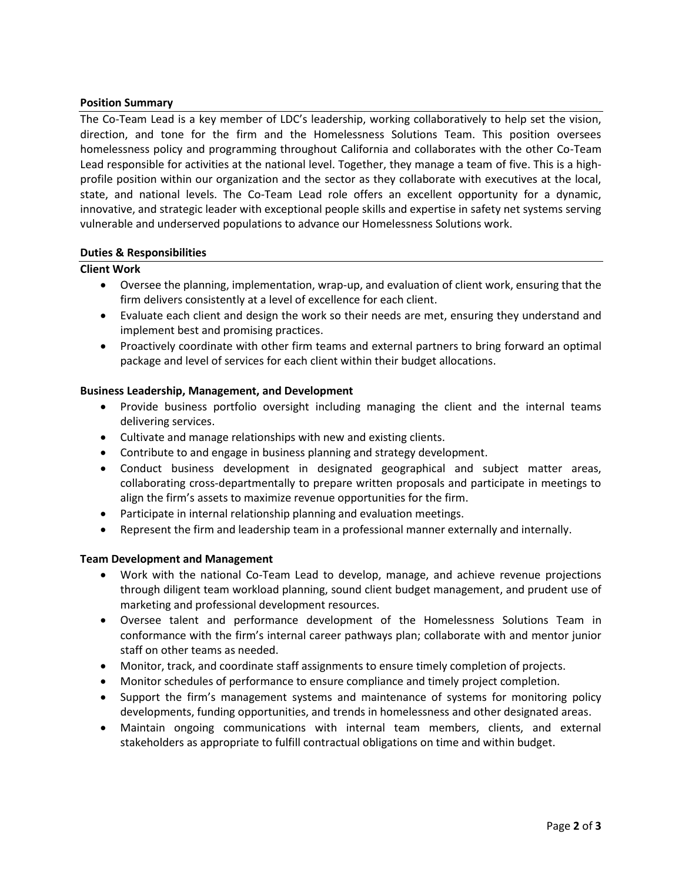## **Position Summary**

The Co-Team Lead is a key member of LDC's leadership, working collaboratively to help set the vision, direction, and tone for the firm and the Homelessness Solutions Team. This position oversees homelessness policy and programming throughout California and collaborates with the other Co-Team Lead responsible for activities at the national level. Together, they manage a team of five. This is a highprofile position within our organization and the sector as they collaborate with executives at the local, state, and national levels. The Co-Team Lead role offers an excellent opportunity for a dynamic, innovative, and strategic leader with exceptional people skills and expertise in safety net systems serving vulnerable and underserved populations to advance our Homelessness Solutions work.

#### **Duties & Responsibilities**

## **Client Work**

- Oversee the planning, implementation, wrap-up, and evaluation of client work, ensuring that the firm delivers consistently at a level of excellence for each client.
- Evaluate each client and design the work so their needs are met, ensuring they understand and implement best and promising practices.
- Proactively coordinate with other firm teams and external partners to bring forward an optimal package and level of services for each client within their budget allocations.

## **Business Leadership, Management, and Development**

- Provide business portfolio oversight including managing the client and the internal teams delivering services.
- Cultivate and manage relationships with new and existing clients.
- Contribute to and engage in business planning and strategy development.
- Conduct business development in designated geographical and subject matter areas, collaborating cross-departmentally to prepare written proposals and participate in meetings to align the firm's assets to maximize revenue opportunities for the firm.
- Participate in internal relationship planning and evaluation meetings.
- Represent the firm and leadership team in a professional manner externally and internally.

# **Team Development and Management**

- Work with the national Co-Team Lead to develop, manage, and achieve revenue projections through diligent team workload planning, sound client budget management, and prudent use of marketing and professional development resources.
- Oversee talent and performance development of the Homelessness Solutions Team in conformance with the firm's internal career pathways plan; collaborate with and mentor junior staff on other teams as needed.
- Monitor, track, and coordinate staff assignments to ensure timely completion of projects.
- Monitor schedules of performance to ensure compliance and timely project completion.
- Support the firm's management systems and maintenance of systems for monitoring policy developments, funding opportunities, and trends in homelessness and other designated areas.
- Maintain ongoing communications with internal team members, clients, and external stakeholders as appropriate to fulfill contractual obligations on time and within budget.